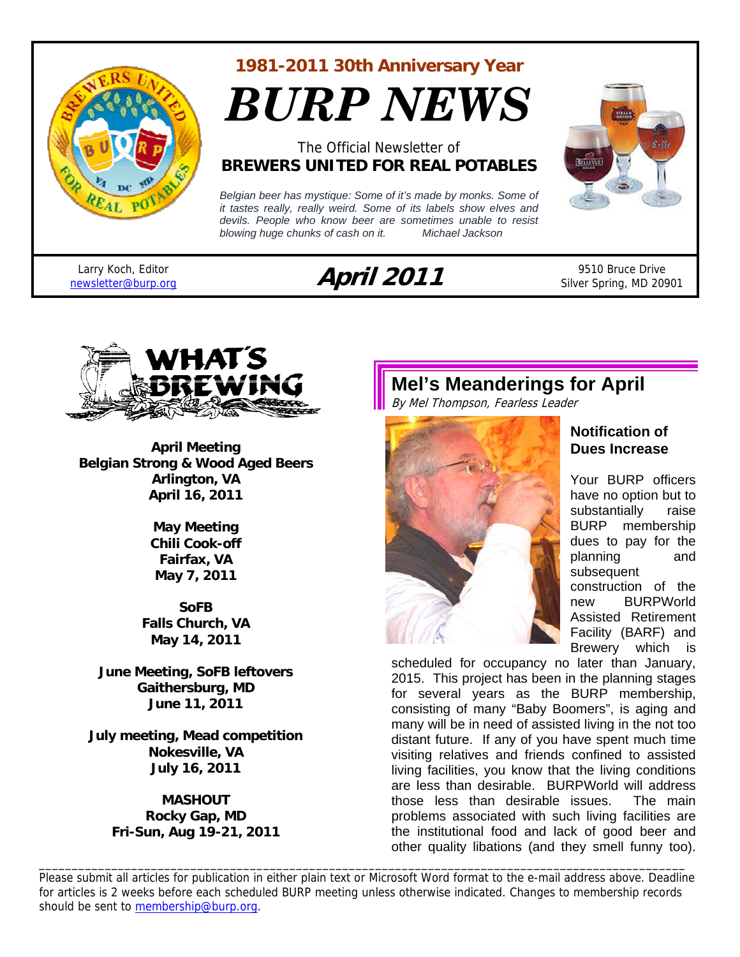

#### **1981-2011 30th Anniversary Year**

*BURP NEWS*

#### The Official Newsletter of **BREWERS UNITED FOR REAL POTABLES**

*Belgian beer has mystique: Some of it's made by monks. Some of it tastes really, really weird. Some of its labels show elves and devils. People who know beer are sometimes unable to resist blowing huge chunks of cash on it. Michael Jackson* 



Larry Koch, Editor

# Larry Koch, Editor **April 2011** 9510 Bruce Drive<br> **April 2011** 9510 Bruce Drive 9510 Bruce Drive

Silver Spring, MD 20901



**April Meeting Belgian Strong & Wood Aged Beers Arlington, VA April 16, 2011** 

> **May Meeting Chili Cook-off Fairfax, VA May 7, 2011**

**SoFB Falls Church, VA May 14, 2011** 

**June Meeting, SoFB leftovers Gaithersburg, MD June 11, 2011** 

**July meeting, Mead competition Nokesville, VA July 16, 2011** 

> **MASHOUT Rocky Gap, MD Fri-Sun, Aug 19-21, 2011**

### **Mel's Meanderings for April**

By Mel Thompson, Fearless Leader



#### **Notification of Dues Increase**

Your BURP officers have no option but to substantially raise BURP membership dues to pay for the planning and subsequent construction of the new BURPWorld Assisted Retirement Facility (BARF) and Brewery which is

scheduled for occupancy no later than January, 2015. This project has been in the planning stages for several years as the BURP membership, consisting of many "Baby Boomers", is aging and many will be in need of assisted living in the not too distant future. If any of you have spent much time visiting relatives and friends confined to assisted living facilities, you know that the living conditions are less than desirable. BURPWorld will address those less than desirable issues. The main problems associated with such living facilities are the institutional food and lack of good beer and other quality libations (and they smell funny too).

Please submit all articles for publication in either plain text or Microsoft Word format to the e-mail address above. Deadline for articles is 2 weeks before each scheduled BURP meeting unless otherwise indicated. Changes to membership records should be sent to membership@burp.org.

\_\_\_\_\_\_\_\_\_\_\_\_\_\_\_\_\_\_\_\_\_\_\_\_\_\_\_\_\_\_\_\_\_\_\_\_\_\_\_\_\_\_\_\_\_\_\_\_\_\_\_\_\_\_\_\_\_\_\_\_\_\_\_\_\_\_\_\_\_\_\_\_\_\_\_\_\_\_\_\_\_\_\_\_\_\_\_\_\_\_\_\_\_\_\_\_\_\_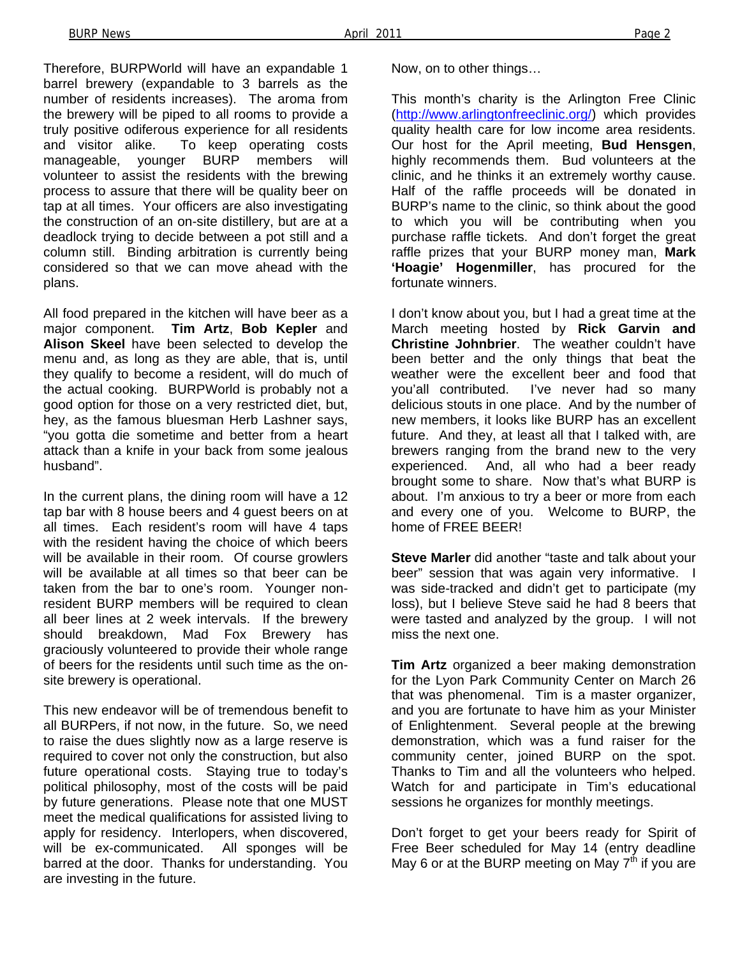Therefore, BURPWorld will have an expandable 1 barrel brewery (expandable to 3 barrels as the number of residents increases). The aroma from the brewery will be piped to all rooms to provide a truly positive odiferous experience for all residents and visitor alike. To keep operating costs manageable, younger BURP members will volunteer to assist the residents with the brewing process to assure that there will be quality beer on tap at all times. Your officers are also investigating the construction of an on-site distillery, but are at a deadlock trying to decide between a pot still and a column still. Binding arbitration is currently being considered so that we can move ahead with the plans.

All food prepared in the kitchen will have beer as a major component. **Tim Artz**, **Bob Kepler** and **Alison Skeel** have been selected to develop the menu and, as long as they are able, that is, until they qualify to become a resident, will do much of the actual cooking. BURPWorld is probably not a good option for those on a very restricted diet, but, hey, as the famous bluesman Herb Lashner says, "you gotta die sometime and better from a heart attack than a knife in your back from some jealous husband".

In the current plans, the dining room will have a 12 tap bar with 8 house beers and 4 guest beers on at all times. Each resident's room will have 4 taps with the resident having the choice of which beers will be available in their room. Of course growlers will be available at all times so that beer can be taken from the bar to one's room. Younger nonresident BURP members will be required to clean all beer lines at 2 week intervals. If the brewery should breakdown, Mad Fox Brewery has graciously volunteered to provide their whole range of beers for the residents until such time as the onsite brewery is operational.

This new endeavor will be of tremendous benefit to all BURPers, if not now, in the future. So, we need to raise the dues slightly now as a large reserve is required to cover not only the construction, but also future operational costs. Staying true to today's political philosophy, most of the costs will be paid by future generations. Please note that one MUST meet the medical qualifications for assisted living to apply for residency. Interlopers, when discovered, will be ex-communicated. All sponges will be barred at the door. Thanks for understanding. You are investing in the future.

Now, on to other things…

This month's charity is the Arlington Free Clinic (http://www.arlingtonfreeclinic.org/) which provides quality health care for low income area residents. Our host for the April meeting, **Bud Hensgen**, highly recommends them. Bud volunteers at the clinic, and he thinks it an extremely worthy cause. Half of the raffle proceeds will be donated in BURP's name to the clinic, so think about the good to which you will be contributing when you purchase raffle tickets. And don't forget the great raffle prizes that your BURP money man, **Mark 'Hoagie' Hogenmiller**, has procured for the fortunate winners.

I don't know about you, but I had a great time at the March meeting hosted by **Rick Garvin and Christine Johnbrier**. The weather couldn't have been better and the only things that beat the weather were the excellent beer and food that you'all contributed. I've never had so many delicious stouts in one place. And by the number of new members, it looks like BURP has an excellent future. And they, at least all that I talked with, are brewers ranging from the brand new to the very experienced. And, all who had a beer ready brought some to share. Now that's what BURP is about. I'm anxious to try a beer or more from each and every one of you. Welcome to BURP, the home of FREE BEER!

**Steve Marler** did another "taste and talk about your beer" session that was again very informative. I was side-tracked and didn't get to participate (my loss), but I believe Steve said he had 8 beers that were tasted and analyzed by the group. I will not miss the next one.

**Tim Artz** organized a beer making demonstration for the Lyon Park Community Center on March 26 that was phenomenal. Tim is a master organizer, and you are fortunate to have him as your Minister of Enlightenment. Several people at the brewing demonstration, which was a fund raiser for the community center, joined BURP on the spot. Thanks to Tim and all the volunteers who helped. Watch for and participate in Tim's educational sessions he organizes for monthly meetings.

Don't forget to get your beers ready for Spirit of Free Beer scheduled for May 14 (entry deadline May 6 or at the BURP meeting on May  $7<sup>th</sup>$  if you are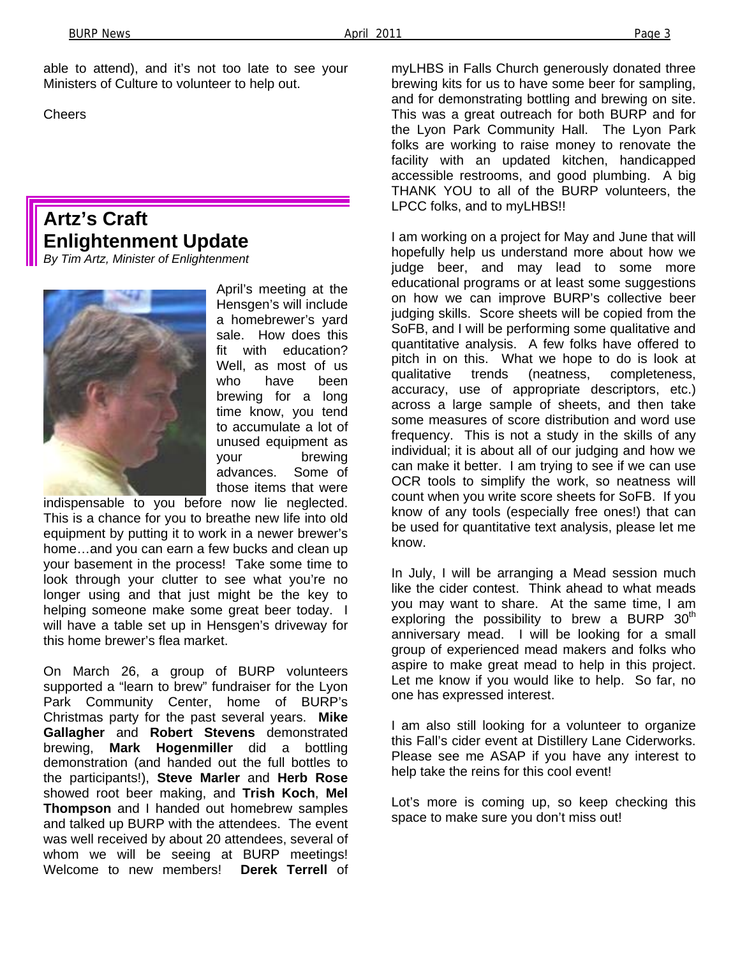able to attend), and it's not too late to see your Ministers of Culture to volunteer to help out.

**Cheers** 

### **Artz's Craft Enlightenment Update**

*By Tim Artz, Minister of Enlightenment* 



April's meeting at the Hensgen's will include a homebrewer's yard sale. How does this fit with education? Well, as most of us who have been brewing for a long time know, you tend to accumulate a lot of unused equipment as your brewing advances. Some of those items that were

indispensable to you before now lie neglected. This is a chance for you to breathe new life into old equipment by putting it to work in a newer brewer's home…and you can earn a few bucks and clean up your basement in the process! Take some time to look through your clutter to see what you're no longer using and that just might be the key to helping someone make some great beer today. I will have a table set up in Hensgen's driveway for this home brewer's flea market.

On March 26, a group of BURP volunteers supported a "learn to brew" fundraiser for the Lyon Park Community Center, home of BURP's Christmas party for the past several years. **Mike Gallagher** and **Robert Stevens** demonstrated brewing, **Mark Hogenmiller** did a bottling demonstration (and handed out the full bottles to the participants!), **Steve Marler** and **Herb Rose** showed root beer making, and **Trish Koch**, **Mel Thompson** and I handed out homebrew samples and talked up BURP with the attendees. The event was well received by about 20 attendees, several of whom we will be seeing at BURP meetings! Welcome to new members! **Derek Terrell** of

myLHBS in Falls Church generously donated three brewing kits for us to have some beer for sampling, and for demonstrating bottling and brewing on site. This was a great outreach for both BURP and for the Lyon Park Community Hall. The Lyon Park folks are working to raise money to renovate the facility with an updated kitchen, handicapped accessible restrooms, and good plumbing. A big THANK YOU to all of the BURP volunteers, the LPCC folks, and to myLHBS!!

I am working on a project for May and June that will hopefully help us understand more about how we judge beer, and may lead to some more educational programs or at least some suggestions on how we can improve BURP's collective beer judging skills. Score sheets will be copied from the SoFB, and I will be performing some qualitative and quantitative analysis. A few folks have offered to pitch in on this. What we hope to do is look at qualitative trends (neatness, completeness, accuracy, use of appropriate descriptors, etc.) across a large sample of sheets, and then take some measures of score distribution and word use frequency. This is not a study in the skills of any individual; it is about all of our judging and how we can make it better. I am trying to see if we can use OCR tools to simplify the work, so neatness will count when you write score sheets for SoFB. If you know of any tools (especially free ones!) that can be used for quantitative text analysis, please let me know.

In July, I will be arranging a Mead session much like the cider contest. Think ahead to what meads you may want to share. At the same time, I am exploring the possibility to brew a BURP  $30<sup>th</sup>$ anniversary mead. I will be looking for a small group of experienced mead makers and folks who aspire to make great mead to help in this project. Let me know if you would like to help. So far, no one has expressed interest.

I am also still looking for a volunteer to organize this Fall's cider event at Distillery Lane Ciderworks. Please see me ASAP if you have any interest to help take the reins for this cool event!

Lot's more is coming up, so keep checking this space to make sure you don't miss out!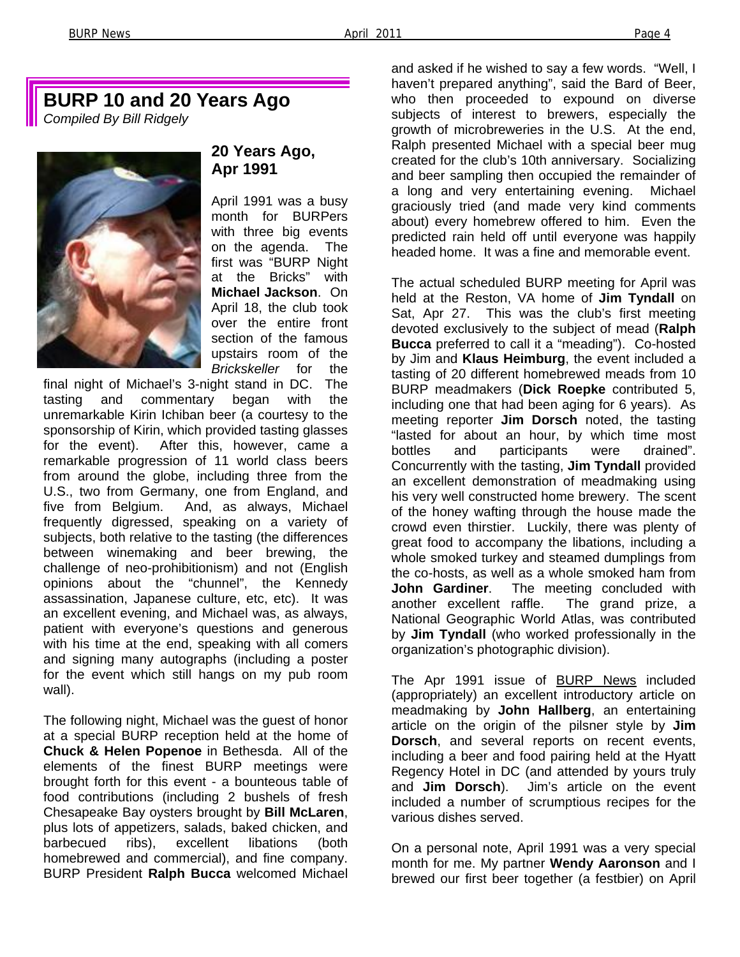### **BURP 10 and 20 Years Ago**

*Compiled By Bill Ridgely* 



#### **20 Years Ago, Apr 1991**

April 1991 was a busy month for BURPers with three big events on the agenda. The first was "BURP Night at the Bricks" with **Michael Jackson**. On April 18, the club took over the entire front section of the famous upstairs room of the *Brickskeller* for the

final night of Michael's 3-night stand in DC. The tasting and commentary began with the unremarkable Kirin Ichiban beer (a courtesy to the sponsorship of Kirin, which provided tasting glasses for the event). After this, however, came a remarkable progression of 11 world class beers from around the globe, including three from the U.S., two from Germany, one from England, and five from Belgium. And, as always, Michael frequently digressed, speaking on a variety of subjects, both relative to the tasting (the differences between winemaking and beer brewing, the challenge of neo-prohibitionism) and not (English opinions about the "chunnel", the Kennedy assassination, Japanese culture, etc, etc). It was an excellent evening, and Michael was, as always, patient with everyone's questions and generous with his time at the end, speaking with all comers and signing many autographs (including a poster for the event which still hangs on my pub room wall).

The following night, Michael was the guest of honor at a special BURP reception held at the home of **Chuck & Helen Popenoe** in Bethesda. All of the elements of the finest BURP meetings were brought forth for this event - a bounteous table of food contributions (including 2 bushels of fresh Chesapeake Bay oysters brought by **Bill McLaren**, plus lots of appetizers, salads, baked chicken, and barbecued ribs), excellent libations (both homebrewed and commercial), and fine company. BURP President **Ralph Bucca** welcomed Michael and asked if he wished to say a few words. "Well, I haven't prepared anything", said the Bard of Beer, who then proceeded to expound on diverse subjects of interest to brewers, especially the growth of microbreweries in the U.S. At the end, Ralph presented Michael with a special beer mug created for the club's 10th anniversary. Socializing and beer sampling then occupied the remainder of a long and very entertaining evening. Michael graciously tried (and made very kind comments about) every homebrew offered to him. Even the predicted rain held off until everyone was happily headed home. It was a fine and memorable event.

The actual scheduled BURP meeting for April was held at the Reston, VA home of **Jim Tyndall** on Sat, Apr 27. This was the club's first meeting devoted exclusively to the subject of mead (**Ralph Bucca** preferred to call it a "meading"). Co-hosted by Jim and **Klaus Heimburg**, the event included a tasting of 20 different homebrewed meads from 10 BURP meadmakers (**Dick Roepke** contributed 5, including one that had been aging for 6 years). As meeting reporter **Jim Dorsch** noted, the tasting "lasted for about an hour, by which time most bottles and participants were drained". Concurrently with the tasting, **Jim Tyndall** provided an excellent demonstration of meadmaking using his very well constructed home brewery. The scent of the honey wafting through the house made the crowd even thirstier. Luckily, there was plenty of great food to accompany the libations, including a whole smoked turkey and steamed dumplings from the co-hosts, as well as a whole smoked ham from<br>**John Gardiner**. The meeting concluded with The meeting concluded with another excellent raffle. The grand prize, a National Geographic World Atlas, was contributed by **Jim Tyndall** (who worked professionally in the organization's photographic division).

The Apr 1991 issue of BURP News included (appropriately) an excellent introductory article on meadmaking by **John Hallberg**, an entertaining article on the origin of the pilsner style by **Jim Dorsch**, and several reports on recent events, including a beer and food pairing held at the Hyatt Regency Hotel in DC (and attended by yours truly and **Jim Dorsch**). Jim's article on the event included a number of scrumptious recipes for the various dishes served.

On a personal note, April 1991 was a very special month for me. My partner **Wendy Aaronson** and I brewed our first beer together (a festbier) on April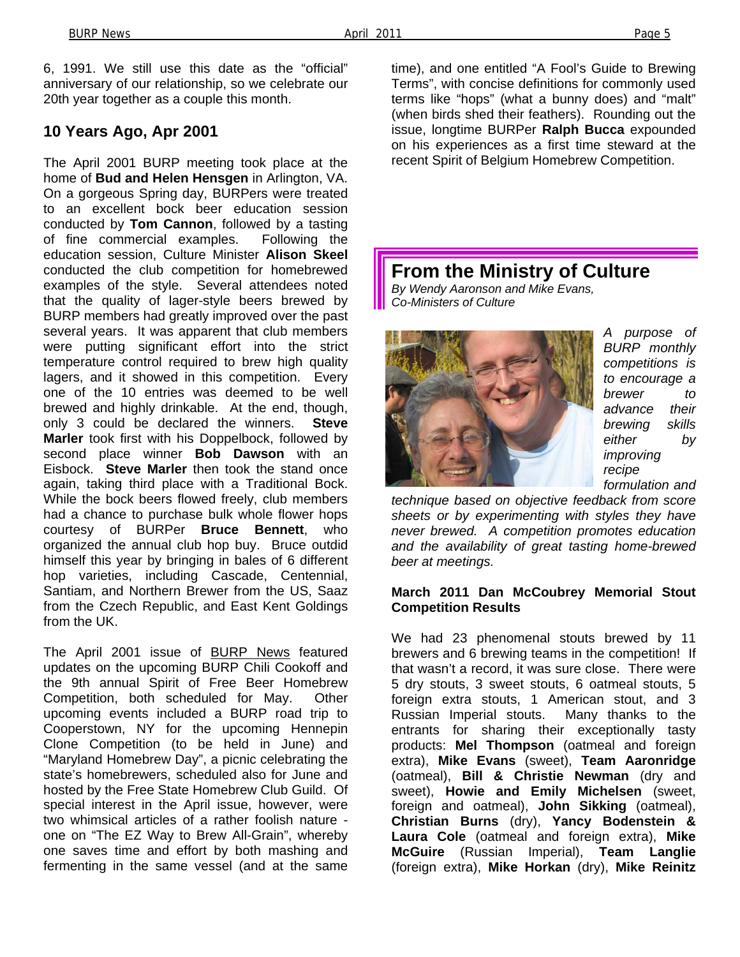6, 1991. We still use this date as the "official" anniversary of our relationship, so we celebrate our 20th year together as a couple this month.

#### **10 Years Ago, Apr 2001**

The April 2001 BURP meeting took place at the home of **Bud and Helen Hensgen** in Arlington, VA. On a gorgeous Spring day, BURPers were treated to an excellent bock beer education session conducted by **Tom Cannon**, followed by a tasting of fine commercial examples. Following the education session, Culture Minister **Alison Skeel**  conducted the club competition for homebrewed examples of the style. Several attendees noted that the quality of lager-style beers brewed by BURP members had greatly improved over the past several years. It was apparent that club members were putting significant effort into the strict temperature control required to brew high quality lagers, and it showed in this competition. Every one of the 10 entries was deemed to be well brewed and highly drinkable. At the end, though, only 3 could be declared the winners. **Steve Marler** took first with his Doppelbock, followed by second place winner **Bob Dawson** with an Eisbock. **Steve Marler** then took the stand once again, taking third place with a Traditional Bock. While the bock beers flowed freely, club members had a chance to purchase bulk whole flower hops courtesy of BURPer **Bruce Bennett**, who organized the annual club hop buy. Bruce outdid himself this year by bringing in bales of 6 different hop varieties, including Cascade, Centennial, Santiam, and Northern Brewer from the US, Saaz from the Czech Republic, and East Kent Goldings from the UK.

The April 2001 issue of BURP News featured updates on the upcoming BURP Chili Cookoff and the 9th annual Spirit of Free Beer Homebrew Competition, both scheduled for May. Other upcoming events included a BURP road trip to Cooperstown, NY for the upcoming Hennepin Clone Competition (to be held in June) and "Maryland Homebrew Day", a picnic celebrating the state's homebrewers, scheduled also for June and hosted by the Free State Homebrew Club Guild. Of special interest in the April issue, however, were two whimsical articles of a rather foolish nature one on "The EZ Way to Brew All-Grain", whereby one saves time and effort by both mashing and fermenting in the same vessel (and at the same

time), and one entitled "A Fool's Guide to Brewing Terms", with concise definitions for commonly used terms like "hops" (what a bunny does) and "malt" (when birds shed their feathers). Rounding out the issue, longtime BURPer **Ralph Bucca** expounded on his experiences as a first time steward at the recent Spirit of Belgium Homebrew Competition.

**From the Ministry of Culture** 

*By Wendy Aaronson and Mike Evans, Co-Ministers of Culture* 



*A purpose of BURP monthly competitions is to encourage a brewer to advance their brewing skills either by improving recipe* 

*formulation and* 

*technique based on objective feedback from score sheets or by experimenting with styles they have never brewed. A competition promotes education and the availability of great tasting home-brewed beer at meetings.* 

#### **March 2011 Dan McCoubrey Memorial Stout Competition Results**

We had 23 phenomenal stouts brewed by 11 brewers and 6 brewing teams in the competition! If that wasn't a record, it was sure close. There were 5 dry stouts, 3 sweet stouts, 6 oatmeal stouts, 5 foreign extra stouts, 1 American stout, and 3 Russian Imperial stouts. Many thanks to the entrants for sharing their exceptionally tasty products: **Mel Thompson** (oatmeal and foreign extra), **Mike Evans** (sweet), **Team Aaronridge** (oatmeal), **Bill & Christie Newman** (dry and sweet), **Howie and Emily Michelsen** (sweet, foreign and oatmeal), **John Sikking** (oatmeal), **Christian Burns** (dry), **Yancy Bodenstein & Laura Cole** (oatmeal and foreign extra), **Mike McGuire** (Russian Imperial), **Team Langlie** (foreign extra), **Mike Horkan** (dry), **Mike Reinitz**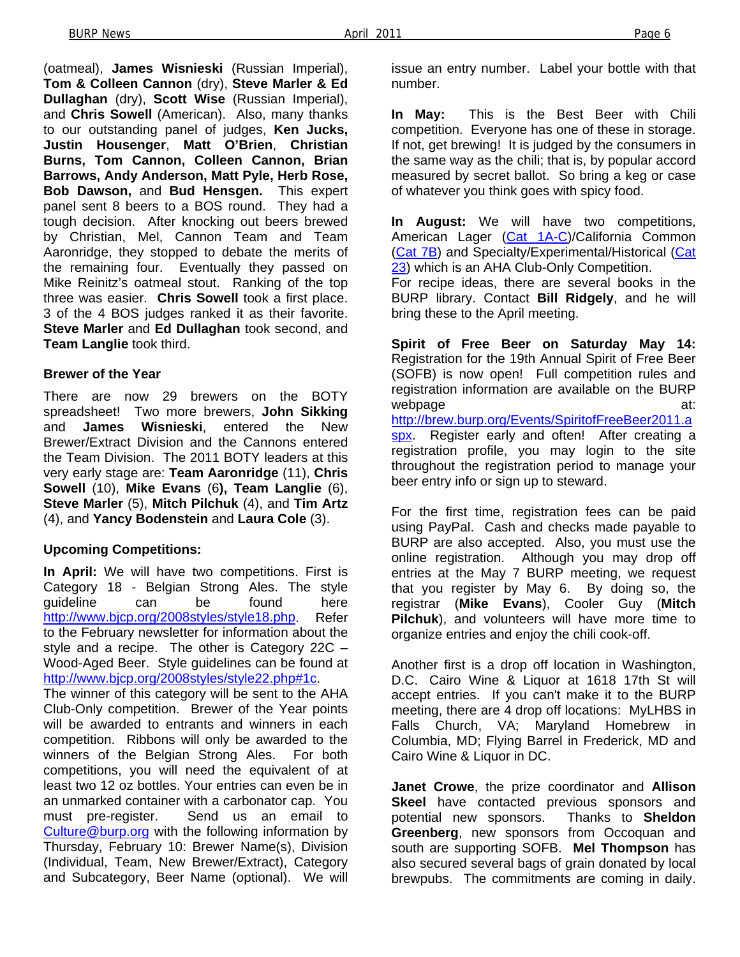(oatmeal), **James Wisnieski** (Russian Imperial), **Tom & Colleen Cannon** (dry), **Steve Marler & Ed Dullaghan** (dry), **Scott Wise** (Russian Imperial), and **Chris Sowell** (American). Also, many thanks to our outstanding panel of judges, **Ken Jucks, Justin Housenger**, **Matt O'Brien**, **Christian Burns, Tom Cannon, Colleen Cannon, Brian Barrows, Andy Anderson, Matt Pyle, Herb Rose, Bob Dawson,** and **Bud Hensgen.** This expert panel sent 8 beers to a BOS round. They had a tough decision. After knocking out beers brewed by Christian, Mel, Cannon Team and Team Aaronridge, they stopped to debate the merits of the remaining four. Eventually they passed on Mike Reinitz's oatmeal stout. Ranking of the top three was easier. **Chris Sowell** took a first place. 3 of the 4 BOS judges ranked it as their favorite. **Steve Marler** and **Ed Dullaghan** took second, and **Team Langlie** took third.

#### **Brewer of the Year**

There are now 29 brewers on the BOTY spreadsheet! Two more brewers, **John Sikking** and **James Wisnieski**, entered the New Brewer/Extract Division and the Cannons entered the Team Division. The 2011 BOTY leaders at this very early stage are: **Team Aaronridge** (11), **Chris Sowell** (10), **Mike Evans** (6**), Team Langlie** (6), **Steve Marler** (5), **Mitch Pilchuk** (4), and **Tim Artz** (4), and **Yancy Bodenstein** and **Laura Cole** (3).

#### **Upcoming Competitions:**

**In April:** We will have two competitions. First is Category 18 - Belgian Strong Ales. The style guideline can be found here http://www.bjcp.org/2008styles/style18.php. Refer to the February newsletter for information about the style and a recipe. The other is Category 22C – Wood-Aged Beer. Style guidelines can be found at http://www.bjcp.org/2008styles/style22.php#1c.

The winner of this category will be sent to the AHA Club-Only competition. Brewer of the Year points will be awarded to entrants and winners in each competition. Ribbons will only be awarded to the winners of the Belgian Strong Ales. For both competitions, you will need the equivalent of at least two 12 oz bottles. Your entries can even be in an unmarked container with a carbonator cap. You must pre-register. Send us an email to Culture@burp.org with the following information by Thursday, February 10: Brewer Name(s), Division (Individual, Team, New Brewer/Extract), Category and Subcategory, Beer Name (optional). We will issue an entry number. Label your bottle with that number.

**In May:** This is the Best Beer with Chili competition. Everyone has one of these in storage. If not, get brewing! It is judged by the consumers in the same way as the chili; that is, by popular accord measured by secret ballot. So bring a keg or case of whatever you think goes with spicy food.

**In August:** We will have two competitions, American Lager (Cat 1A-C)/California Common (Cat 7B) and Specialty/Experimental/Historical (Cat 23) which is an AHA Club-Only Competition.

For recipe ideas, there are several books in the BURP library. Contact **Bill Ridgely**, and he will bring these to the April meeting.

**Spirit of Free Beer on Saturday May 14:**  Registration for the 19th Annual Spirit of Free Beer (SOFB) is now open! Full competition rules and registration information are available on the BURP webpage at: http://brew.burp.org/Events/SpiritofFreeBeer2011.a spx. Register early and often! After creating a registration profile, you may login to the site throughout the registration period to manage your beer entry info or sign up to steward.

For the first time, registration fees can be paid using PayPal. Cash and checks made payable to BURP are also accepted. Also, you must use the online registration. Although you may drop off entries at the May 7 BURP meeting, we request that you register by May 6. By doing so, the registrar (**Mike Evans**), Cooler Guy (**Mitch Pilchuk**), and volunteers will have more time to organize entries and enjoy the chili cook-off.

Another first is a drop off location in Washington, D.C. Cairo Wine & Liquor at 1618 17th St will accept entries. If you can't make it to the BURP meeting, there are 4 drop off locations: MyLHBS in Falls Church, VA; Maryland Homebrew in Columbia, MD; Flying Barrel in Frederick, MD and Cairo Wine & Liquor in DC.

**Janet Crowe**, the prize coordinator and **Allison Skeel** have contacted previous sponsors and potential new sponsors. Thanks to **Sheldon Greenberg**, new sponsors from Occoquan and south are supporting SOFB. **Mel Thompson** has also secured several bags of grain donated by local brewpubs. The commitments are coming in daily.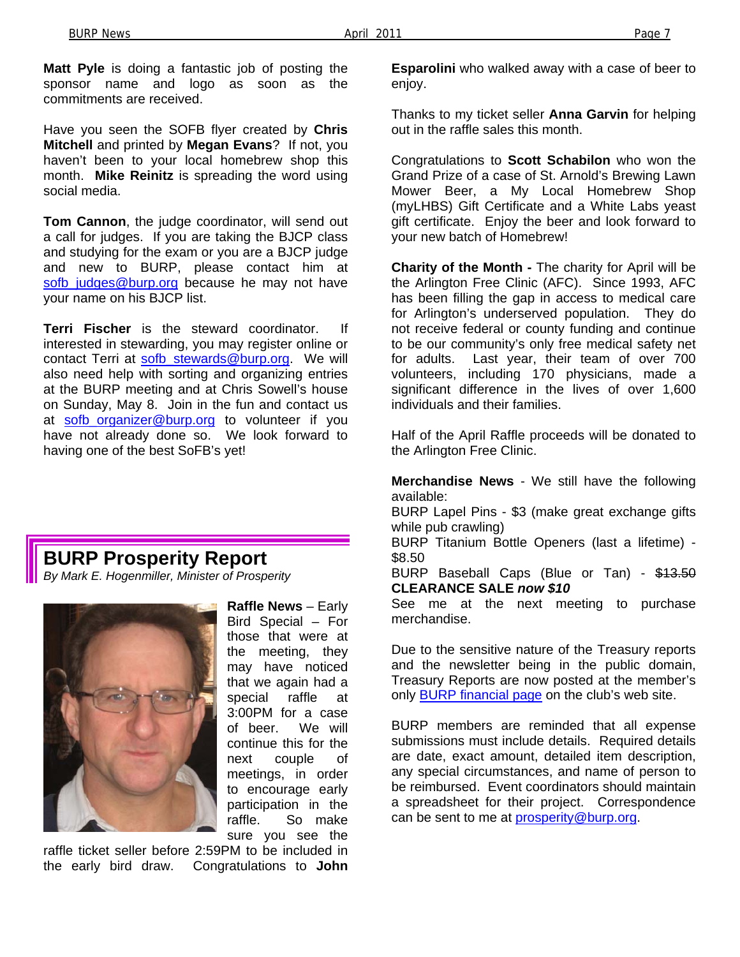**Matt Pyle** is doing a fantastic job of posting the sponsor name and logo as soon as the commitments are received.

Have you seen the SOFB flyer created by **Chris Mitchell** and printed by **Megan Evans**? If not, you haven't been to your local homebrew shop this month. **Mike Reinitz** is spreading the word using social media.

**Tom Cannon**, the judge coordinator, will send out a call for judges. If you are taking the BJCP class and studying for the exam or you are a BJCP judge and new to BURP, please contact him at sofb judges@burp.org because he may not have your name on his BJCP list.

**Terri Fischer** is the steward coordinator. If interested in stewarding, you may register online or contact Terri at sofb\_stewards@burp.org. We will also need help with sorting and organizing entries at the BURP meeting and at Chris Sowell's house on Sunday, May 8. Join in the fun and contact us at sofb\_organizer@burp.org to volunteer if you have not already done so. We look forward to having one of the best SoFB's yet!

### **BURP Prosperity Report**

*By Mark E. Hogenmiller, Minister of Prosperity* 



**Raffle News** – Early Bird Special – For those that were at the meeting, they may have noticed that we again had a special raffle at 3:00PM for a case of beer. We will continue this for the next couple of meetings, in order to encourage early participation in the raffle. So make sure you see the

raffle ticket seller before 2:59PM to be included in the early bird draw. Congratulations to **John**  **Esparolini** who walked away with a case of beer to enjoy.

Thanks to my ticket seller **Anna Garvin** for helping out in the raffle sales this month.

Congratulations to **Scott Schabilon** who won the Grand Prize of a case of St. Arnold's Brewing Lawn Mower Beer, a My Local Homebrew Shop (myLHBS) Gift Certificate and a White Labs yeast gift certificate. Enjoy the beer and look forward to your new batch of Homebrew!

**Charity of the Month -** The charity for April will be the Arlington Free Clinic (AFC). Since 1993, AFC has been filling the gap in access to medical care for Arlington's underserved population. They do not receive federal or county funding and continue to be our community's only free medical safety net for adults. Last year, their team of over 700 volunteers, including 170 physicians, made a significant difference in the lives of over 1,600 individuals and their families.

Half of the April Raffle proceeds will be donated to the Arlington Free Clinic.

**Merchandise News** - We still have the following available:

BURP Lapel Pins - \$3 (make great exchange gifts while pub crawling)

BURP Titanium Bottle Openers (last a lifetime) - \$8.50

BURP Baseball Caps (Blue or Tan) - \$13.50 **CLEARANCE SALE** *now \$10*

See me at the next meeting to purchase merchandise.

Due to the sensitive nature of the Treasury reports and the newsletter being in the public domain, Treasury Reports are now posted at the member's only **BURP** financial page on the club's web site.

BURP members are reminded that all expense submissions must include details. Required details are date, exact amount, detailed item description, any special circumstances, and name of person to be reimbursed. Event coordinators should maintain a spreadsheet for their project. Correspondence can be sent to me at prosperity@burp.org.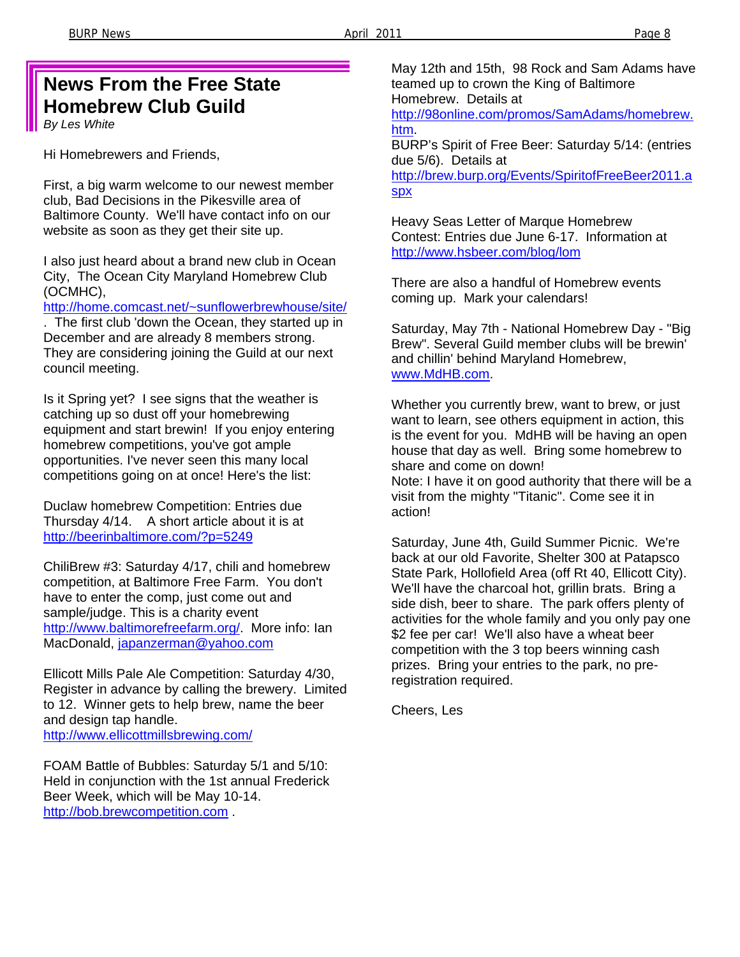### **News From the Free State Homebrew Club Guild**

*By Les White* 

Hi Homebrewers and Friends,

First, a big warm welcome to our newest member club, Bad Decisions in the Pikesville area of Baltimore County. We'll have contact info on our website as soon as they get their site up.

I also just heard about a brand new club in Ocean City, The Ocean City Maryland Homebrew Club (OCMHC),

http://home.comcast.net/~sunflowerbrewhouse/site/

. The first club 'down the Ocean, they started up in December and are already 8 members strong. They are considering joining the Guild at our next council meeting.

Is it Spring yet? I see signs that the weather is catching up so dust off your homebrewing equipment and start brewin! If you enjoy entering homebrew competitions, you've got ample opportunities. I've never seen this many local competitions going on at once! Here's the list:

Duclaw homebrew Competition: Entries due Thursday 4/14. A short article about it is at http://beerinbaltimore.com/?p=5249

ChiliBrew #3: Saturday 4/17, chili and homebrew competition, at Baltimore Free Farm. You don't have to enter the comp, just come out and sample/judge. This is a charity event http://www.baltimorefreefarm.org/. More info: Ian MacDonald, japanzerman@yahoo.com

Ellicott Mills Pale Ale Competition: Saturday 4/30, Register in advance by calling the brewery. Limited to 12. Winner gets to help brew, name the beer and design tap handle. http://www.ellicottmillsbrewing.com/

FOAM Battle of Bubbles: Saturday 5/1 and 5/10: Held in conjunction with the 1st annual Frederick Beer Week, which will be May 10-14. http://bob.brewcompetition.com .

May 12th and 15th, 98 Rock and Sam Adams have teamed up to crown the King of Baltimore Homebrew. Details at

http://98online.com/promos/SamAdams/homebrew. htm.

BURP's Spirit of Free Beer: Saturday 5/14: (entries due 5/6). Details at

http://brew.burp.org/Events/SpiritofFreeBeer2011.a spx

Heavy Seas Letter of Marque Homebrew Contest: Entries due June 6-17. Information at http://www.hsbeer.com/blog/lom

There are also a handful of Homebrew events coming up. Mark your calendars!

Saturday, May 7th - National Homebrew Day - "Big Brew". Several Guild member clubs will be brewin' and chillin' behind Maryland Homebrew, www.MdHB.com.

Whether you currently brew, want to brew, or just want to learn, see others equipment in action, this is the event for you. MdHB will be having an open house that day as well. Bring some homebrew to share and come on down!

Note: I have it on good authority that there will be a visit from the mighty "Titanic". Come see it in action!

Saturday, June 4th, Guild Summer Picnic. We're back at our old Favorite, Shelter 300 at Patapsco State Park, Hollofield Area (off Rt 40, Ellicott City). We'll have the charcoal hot, grillin brats. Bring a side dish, beer to share. The park offers plenty of activities for the whole family and you only pay one \$2 fee per car! We'll also have a wheat beer competition with the 3 top beers winning cash prizes. Bring your entries to the park, no preregistration required.

Cheers, Les